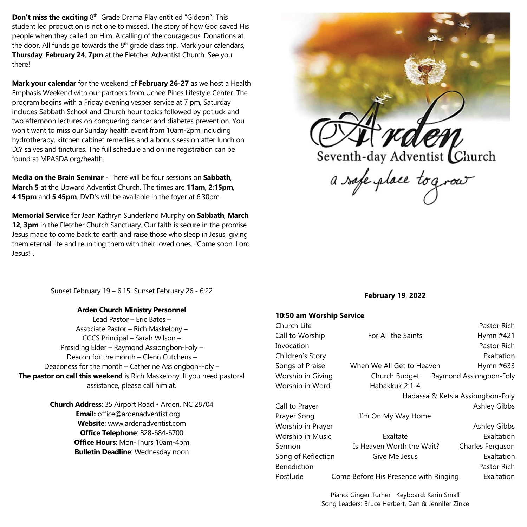**Don't miss the exciting** 8<sup>th</sup> Grade Drama Play entitled "Gideon". This student led production is not one to missed. The story of how God saved His people when they called on Him. A calling of the courageous. Donations at the door. All funds go towards the 8<sup>th</sup> grade class trip. Mark your calendars, **Thursday**, **February 24**, **7pm** at the Fletcher Adventist Church. See you there!

**Mark your calendar** for the weekend of **February 26**-**27** as we host a Health Emphasis Weekend with our partners from Uchee Pines Lifestyle Center. The program begins with a Friday evening vesper service at 7 pm, Saturday includes Sabbath School and Church hour topics followed by potluck and two afternoon lectures on conquering cancer and diabetes prevention. You won't want to miss our Sunday health event from 10am-2pm including hydrotherapy, kitchen cabinet remedies and a bonus session after lunch on DIY salves and tinctures. The full schedule and online registration can be found at MPASDA.org/health.

**Media on the Brain Seminar** - There will be four sessions on **Sabbath**, **March 5** at the Upward Adventist Church. The times are **11am**, **2**:**15pm**, **4**:**15pm** and **5**:**45pm**. DVD's will be available in the foyer at 6:30pm.

**Memorial Service** for Jean Kathryn Sunderland Murphy on **Sabbath**, **March 12**, **3pm** in the Fletcher Church Sanctuary. Our faith is secure in the promise Jesus made to come back to earth and raise those who sleep in Jesus, giving them eternal life and reuniting them with their loved ones. "Come soon, Lord Jesus!".



Sunset February 19 – 6:15 Sunset February 26 - 6:22

#### **Arden Church Ministry Personnel**

Lead Pastor – Eric Bates – Associate Pastor – Rich Maskelony – CGCS Principal – Sarah Wilson – Presiding Elder – Raymond Assiongbon-Foly – Deacon for the month – Glenn Cutchens – Deaconess for the month – Catherine Assiongbon-Foly – **The pastor on call this weekend** is Rich Maskelony. If you need pastoral assistance, please call him at.

> **Church Address**: 35 Airport Road • Arden, NC 28704 **Email:** office@ardenadventist.org **Website**: www.ardenadventist.com **Office Telephone**: 828-684-6700 **Office Hours**: Mon-Thurs 10am-4pm **Bulletin Deadline**: Wednesday noon

#### **February 19**, **2022**

#### **10**:**50 am Worship Service**

| Church Life             |                                       | Pastor Rich             |
|-------------------------|---------------------------------------|-------------------------|
| Call to Worship         | For All the Saints                    | Hymn #421               |
| Invocation              |                                       | Pastor Rich             |
| Children's Story        |                                       | Exaltation              |
| Songs of Praise         | When We All Get to Heaven             | Hymn #633               |
| Worship in Giving       | Church Budget                         | Raymond Assiongbon-Foly |
| Worship in Word         | Habakkuk 2:1-4                        |                         |
|                         | Hadassa & Ketsia Assiongbon-Foly      |                         |
| Call to Prayer          |                                       | Ashley Gibbs            |
| Prayer Song             | I'm On My Way Home                    |                         |
| Worship in Prayer       |                                       | <b>Ashley Gibbs</b>     |
| <b>Worship in Music</b> | Exaltate                              | Exaltation              |
| Sermon                  | Is Heaven Worth the Wait?             | Charles Ferguson        |
| Song of Reflection      | Give Me Jesus                         | Exaltation              |
| <b>Benediction</b>      |                                       | Pastor Rich             |
| Postlude                | Come Before His Presence with Ringing | Exaltation              |

Piano: Ginger Turner Keyboard: Karin Small Song Leaders: Bruce Herbert, Dan & Jennifer Zinke